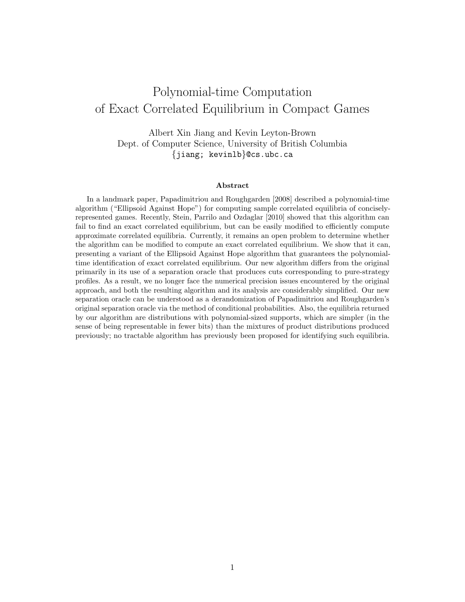# Polynomial-time Computation of Exact Correlated Equilibrium in Compact Games

Albert Xin Jiang and Kevin Leyton-Brown Dept. of Computer Science, University of British Columbia {jiang; kevinlb}@cs.ubc.ca

#### Abstract

In a landmark paper, Papadimitriou and Roughgarden [2008] described a polynomial-time algorithm ("Ellipsoid Against Hope") for computing sample correlated equilibria of conciselyrepresented games. Recently, Stein, Parrilo and Ozdaglar [2010] showed that this algorithm can fail to find an exact correlated equilibrium, but can be easily modified to efficiently compute approximate correlated equilibria. Currently, it remains an open problem to determine whether the algorithm can be modified to compute an exact correlated equilibrium. We show that it can, presenting a variant of the Ellipsoid Against Hope algorithm that guarantees the polynomialtime identification of exact correlated equilibrium. Our new algorithm differs from the original primarily in its use of a separation oracle that produces cuts corresponding to pure-strategy profiles. As a result, we no longer face the numerical precision issues encountered by the original approach, and both the resulting algorithm and its analysis are considerably simplified. Our new separation oracle can be understood as a derandomization of Papadimitriou and Roughgarden's original separation oracle via the method of conditional probabilities. Also, the equilibria returned by our algorithm are distributions with polynomial-sized supports, which are simpler (in the sense of being representable in fewer bits) than the mixtures of product distributions produced previously; no tractable algorithm has previously been proposed for identifying such equilibria.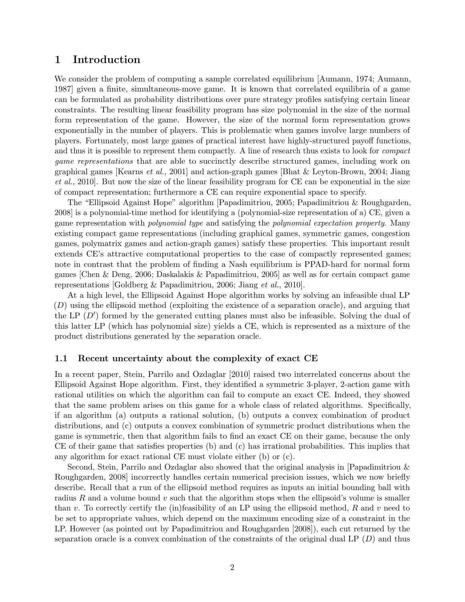# 1 Introduction

We consider the problem of computing a sample correlated equilibrium [Aumann, 1974; Aumann, 1987] given a finite, simultaneous-move game. It is known that correlated equilibria of a game can be formulated as probability distributions over pure strategy profiles satisfying certain linear constraints. The resulting linear feasibility program has size polynomial in the size of the normal form representation of the game. However, the size of the normal form representation grows exponentially in the number of players. This is problematic when games involve large numbers of players. Fortunately, most large games of practical interest have highly-structured payoff functions, and thus it is possible to represent them compactly. A line of research thus exists to look for compact game representations that are able to succinctly describe structured games, including work on graphical games [Kearns et al., 2001] and action-graph games [Bhat & Leyton-Brown, 2004; Jiang et al., 2010]. But now the size of the linear feasibility program for CE can be exponential in the size of compact representation; furthermore a CE can require exponential space to specify.

The "Ellipsoid Against Hope" algorithm [Papadimitriou, 2005; Papadimitriou & Roughgarden, 2008] is a polynomial-time method for identifying a (polynomial-size representation of a) CE, given a game representation with polynomial type and satisfying the polynomial expectation property. Many existing compact game representations (including graphical games, symmetric games, congestion games, polymatrix games and action-graph games) satisfy these properties. This important result extends CE's attractive computational properties to the case of compactly represented games; note in contrast that the problem of finding a Nash equilibrium is PPAD-hard for normal form games [Chen & Deng, 2006; Daskalakis & Papadimitriou, 2005] as well as for certain compact game representations [Goldberg & Papadimitriou, 2006; Jiang et al., 2010].

At a high level, the Ellipsoid Against Hope algorithm works by solving an infeasible dual LP ([D](#page-4-0)) using the ellipsoid method (exploiting the existence of a separation oracle), and arguing that the LP  $(D')$  $(D')$  $(D')$  formed by the generated cutting planes must also be infeasible. Solving the dual of this latter LP (which has polynomial size) yields a CE, which is represented as a mixture of the product distributions generated by the separation oracle.

#### 1.1 Recent uncertainty about the complexity of exact CE

In a recent paper, Stein, Parrilo and Ozdaglar [2010] raised two interrelated concerns about the Ellipsoid Against Hope algorithm. First, they identified a symmetric 3-player, 2-action game with rational utilities on which the algorithm can fail to compute an exact CE. Indeed, they showed that the same problem arises on this game for a whole class of related algorithms. Specifically, if an algorithm (a) outputs a rational solution, (b) outputs a convex combination of product distributions, and (c) outputs a convex combination of symmetric product distributions when the game is symmetric, then that algorithm fails to find an exact CE on their game, because the only CE of their game that satisfies properties (b) and (c) has irrational probabilities. This implies that any algorithm for exact rational CE must violate either (b) or (c).

Second, Stein, Parrilo and Ozdaglar also showed that the original analysis in [Papadimitriou & Roughgarden, 2008] incorrectly handles certain numerical precision issues, which we now briefly describe. Recall that a run of the ellipsoid method requires as inputs an initial bounding ball with radius R and a volume bound  $v$  such that the algorithm stops when the ellipsoid's volume is smaller than v. To correctly certify the (in)feasibility of an LP using the ellipsoid method,  $R$  and v need to be set to appropriate values, which depend on the maximum encoding size of a constraint in the LP. However (as pointed out by Papadimitriou and Roughgarden [2008]), each cut returned by the separation oracle is a convex combination of the constraints of the original dual LP  $(D)$  $(D)$  $(D)$  and thus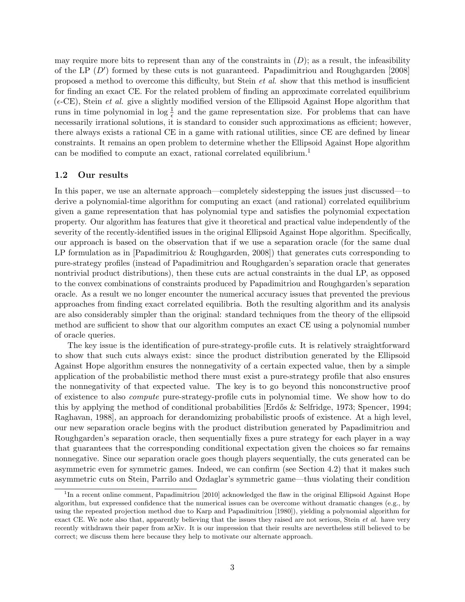may require more bits to represent than any of the constraints in  $(D)$  $(D)$  $(D)$ ; as a result, the infeasibility of the LP  $(D')$  $(D')$  $(D')$  formed by these cuts is not guaranteed. Papadimitriou and Roughgarden [2008] proposed a method to overcome this difficulty, but Stein et al. show that this method is insufficient for finding an exact CE. For the related problem of finding an approximate correlated equilibrium  $(\epsilon$ -CE), Stein *et al.* give a slightly modified version of the Ellipsoid Against Hope algorithm that runs in time polynomial in  $\log \frac{1}{\epsilon}$  and the game representation size. For problems that can have necessarily irrational solutions, it is standard to consider such approximations as efficient; however, there always exists a rational CE in a game with rational utilities, since CE are defined by linear constraints. It remains an open problem to determine whether the Ellipsoid Against Hope algorithm can be modified to compute an exact, rational correlated equilibrium.<sup>[1](#page-2-0)</sup>

#### 1.2 Our results

In this paper, we use an alternate approach—completely sidestepping the issues just discussed—to derive a polynomial-time algorithm for computing an exact (and rational) correlated equilibrium given a game representation that has polynomial type and satisfies the polynomial expectation property. Our algorithm has features that give it theoretical and practical value independently of the severity of the recently-identified issues in the original Ellipsoid Against Hope algorithm. Specifically, our approach is based on the observation that if we use a separation oracle (for the same dual LP formulation as in [Papadimitriou & Roughgarden, 2008]) that generates cuts corresponding to pure-strategy profiles (instead of Papadimitriou and Roughgarden's separation oracle that generates nontrivial product distributions), then these cuts are actual constraints in the dual LP, as opposed to the convex combinations of constraints produced by Papadimitriou and Roughgarden's separation oracle. As a result we no longer encounter the numerical accuracy issues that prevented the previous approaches from finding exact correlated equilibria. Both the resulting algorithm and its analysis are also considerably simpler than the original: standard techniques from the theory of the ellipsoid method are sufficient to show that our algorithm computes an exact CE using a polynomial number of oracle queries.

The key issue is the identification of pure-strategy-profile cuts. It is relatively straightforward to show that such cuts always exist: since the product distribution generated by the Ellipsoid Against Hope algorithm ensures the nonnegativity of a certain expected value, then by a simple application of the probabilistic method there must exist a pure-strategy profile that also ensures the nonnegativity of that expected value. The key is to go beyond this nonconstructive proof of existence to also compute pure-strategy-profile cuts in polynomial time. We show how to do this by applying the method of conditional probabilities [Erdős  $\&$  Selfridge, 1973; Spencer, 1994; Raghavan, 1988], an approach for derandomizing probabilistic proofs of existence. At a high level, our new separation oracle begins with the product distribution generated by Papadimitriou and Roughgarden's separation oracle, then sequentially fixes a pure strategy for each player in a way that guarantees that the corresponding conditional expectation given the choices so far remains nonnegative. Since our separation oracle goes though players sequentially, the cuts generated can be asymmetric even for symmetric games. Indeed, we can confirm (see Section [4.2\)](#page-9-0) that it makes such asymmetric cuts on Stein, Parrilo and Ozdaglar's symmetric game—thus violating their condition

<span id="page-2-0"></span><sup>&</sup>lt;sup>1</sup>In a recent online comment, Papadimitriou [2010] acknowledged the flaw in the original Ellipsoid Against Hope algorithm, but expressed confidence that the numerical issues can be overcome without dramatic changes (e.g., by using the repeated projection method due to Karp and Papadimitriou [1980]), yielding a polynomial algorithm for exact CE. We note also that, apparently believing that the issues they raised are not serious, Stein *et al.* have very recently withdrawn their paper from arXiv. It is our impression that their results are nevertheless still believed to be correct; we discuss them here because they help to motivate our alternate approach.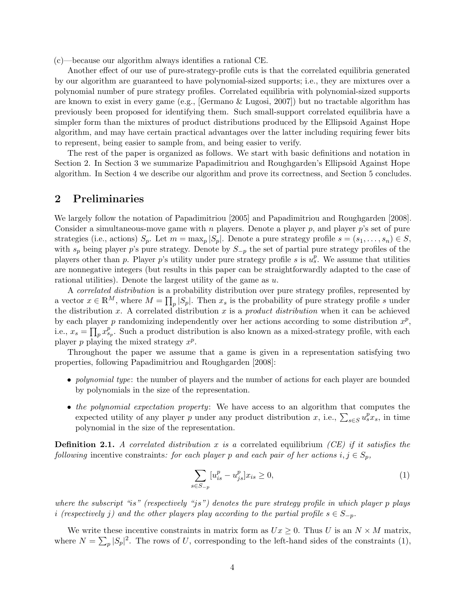(c)—because our algorithm always identifies a rational CE.

Another effect of our use of pure-strategy-profile cuts is that the correlated equilibria generated by our algorithm are guaranteed to have polynomial-sized supports; i.e., they are mixtures over a polynomial number of pure strategy profiles. Correlated equilibria with polynomial-sized supports are known to exist in every game (e.g., [Germano & Lugosi, 2007]) but no tractable algorithm has previously been proposed for identifying them. Such small-support correlated equilibria have a simpler form than the mixtures of product distributions produced by the Ellipsoid Against Hope algorithm, and may have certain practical advantages over the latter including requiring fewer bits to represent, being easier to sample from, and being easier to verify.

The rest of the paper is organized as follows. We start with basic definitions and notation in Section [2.](#page-3-0) In Section [3](#page-4-0) we summarize Papadimitriou and Roughgarden's Ellipsoid Against Hope algorithm. In Section [4](#page-5-1) we describe our algorithm and prove its correctness, and Section [5](#page-10-0) concludes.

### <span id="page-3-0"></span>2 Preliminaries

We largely follow the notation of Papadimitriou [2005] and Papadimitriou and Roughgarden [2008]. Consider a simultaneous-move game with n players. Denote a player  $p$ , and player  $p$ 's set of pure strategies (i.e., actions)  $S_p$ . Let  $m = \max_p |S_p|$ . Denote a pure strategy profile  $s = (s_1, \ldots, s_n) \in S$ , with  $s_p$  being player p's pure strategy. Denote by  $S_{-p}$  the set of partial pure strategy profiles of the players other than p. Player p's utility under pure strategy profile s is  $u_s^p$ . We assume that utilities are nonnegative integers (but results in this paper can be straightforwardly adapted to the case of rational utilities). Denote the largest utility of the game as  $u$ .

A correlated distribution is a probability distribution over pure strategy profiles, represented by a vector  $x \in \mathbb{R}^M$ , where  $M = \prod_p |S_p|$ . Then  $x_s$  is the probability of pure strategy profile s under the distribution x. A correlated distribution x is a *product distribution* when it can be achieved by each player p randomizing independently over her actions according to some distribution  $x^p$ , i.e.,  $x_s = \prod_p x_{s_p}^p$ . Such a product distribution is also known as a mixed-strategy profile, with each player p playing the mixed strategy  $x^p$ .

Throughout the paper we assume that a game is given in a representation satisfying two properties, following Papadimitriou and Roughgarden [2008]:

- *polynomial type*: the number of players and the number of actions for each player are bounded by polynomials in the size of the representation.
- the polynomial expectation property: We have access to an algorithm that computes the expected utility of any player p under any product distribution x, i.e.,  $\sum_{s \in S} u_s^p x_s$ , in time polynomial in the size of the representation.

**Definition 2.1.** A correlated distribution x is a correlated equilibrium (CE) if it satisfies the following incentive constraints: for each player p and each pair of her actions  $i, j \in S_p$ ,

<span id="page-3-1"></span>
$$
\sum_{s \in S_{-p}} [u_{is}^p - u_{js}^p] x_{is} \ge 0,
$$
\n(1)

where the subscript "is" (respectively "js") denotes the pure strategy profile in which player p plays i (respectively j) and the other players play according to the partial profile  $s \in S_{-p}$ .

We write these incentive constraints in matrix form as  $Ux \geq 0$ . Thus U is an  $N \times M$  matrix, where  $N = \sum_{p} |S_p|^2$ . The rows of U, corresponding to the left-hand sides of the constraints [\(1\)](#page-3-1),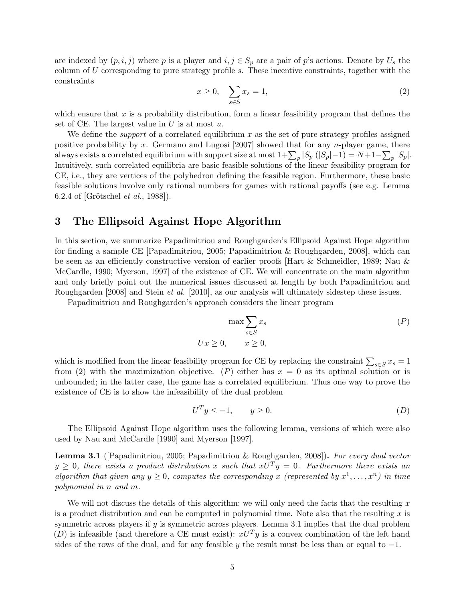<span id="page-4-1"></span>are indexed by  $(p, i, j)$  where p is a player and  $i, j \in S_p$  are a pair of p's actions. Denote by  $U_s$  the column of U corresponding to pure strategy profile s. These incentive constraints, together with the constraints

$$
x \ge 0, \quad \sum_{s \in S} x_s = 1,\tag{2}
$$

which ensure that x is a probability distribution, form a linear feasibility program that defines the set of CE. The largest value in  $U$  is at most  $u$ .

We define the *support* of a correlated equilibrium x as the set of pure strategy profiles assigned positive probability by x. Germano and Lugosi [2007] showed that for any n-player game, there always exists a correlated equilibrium with support size at most  $1+\sum_{p} |S_p|(|S_p|-1) = N+1-\sum_{p} |S_p|$ . Intuitively, such correlated equilibria are basic feasible solutions of the linear feasibility program for CE, i.e., they are vertices of the polyhedron defining the feasible region. Furthermore, these basic feasible solutions involve only rational numbers for games with rational payoffs (see e.g. Lemma 6.2.4 of [Grötschel *et al.*, 1988]).

# <span id="page-4-0"></span>3 The Ellipsoid Against Hope Algorithm

In this section, we summarize Papadimitriou and Roughgarden's Ellipsoid Against Hope algorithm for finding a sample CE [Papadimitriou, 2005; Papadimitriou & Roughgarden, 2008], which can be seen as an efficiently constructive version of earlier proofs [Hart & Schmeidler, 1989; Nau & McCardle, 1990; Myerson, 1997] of the existence of CE. We will concentrate on the main algorithm and only briefly point out the numerical issues discussed at length by both Papadimitriou and Roughgarden [2008] and Stein et al. [2010], as our analysis will ultimately sidestep these issues.

Papadimitriou and Roughgarden's approach considers the linear program

$$
\max \sum_{s \in S} x_s \tag{P}
$$
  
 
$$
Ux \ge 0, \qquad x \ge 0,
$$

which is modified from the linear feasibility program for CE by replacing the constraint  $\sum_{s \in S} x_s = 1$ from [\(2\)](#page-4-1) with the maximization objective. ([P](#page-4-0)) either has  $x = 0$  as its optimal solution or is unbounded; in the latter case, the game has a correlated equilibrium. Thus one way to prove the existence of CE is to show the infeasibility of the dual problem

$$
U^T y \le -1, \qquad y \ge 0. \tag{D}
$$

The Ellipsoid Against Hope algorithm uses the following lemma, versions of which were also used by Nau and McCardle [1990] and Myerson [1997].

<span id="page-4-2"></span>Lemma 3.1 ([Papadimitriou, 2005; Papadimitriou & Roughgarden, 2008]). For every dual vector  $y \geq 0$ , there exists a product distribution x such that  $xU^{T}y = 0$ . Furthermore there exists an algorithm that given any  $y \geq 0$ , computes the corresponding x (represented by  $x^1, \ldots, x^n$ ) in time polynomial in n and m.

We will not discuss the details of this algorithm; we will only need the facts that the resulting  $x$ is a product distribution and can be computed in polynomial time. Note also that the resulting  $x$  is symmetric across players if y is symmetric across players. Lemma [3.1](#page-4-2) implies that the dual problem ([D](#page-4-0)) is infeasible (and therefore a CE must exist):  $xU<sup>T</sup>y$  is a convex combination of the left hand sides of the rows of the dual, and for any feasible y the result must be less than or equal to  $-1$ .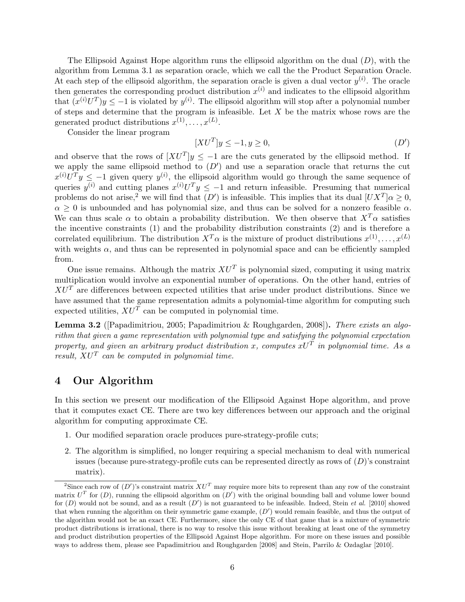The Ellipsoid Against Hope algorithm runs the ellipsoid algorithm on the dual  $(D)$  $(D)$  $(D)$ , with the algorithm from Lemma [3.1](#page-4-2) as separation oracle, which we call the the Product Separation Oracle. At each step of the ellipsoid algorithm, the separation oracle is given a dual vector  $y^{(i)}$ . The oracle then generates the corresponding product distribution  $x^{(i)}$  and indicates to the ellipsoid algorithm that  $(x^{(i)}U^T)y \le -1$  is violated by  $y^{(i)}$ . The ellipsoid algorithm will stop after a polynomial number of steps and determine that the program is infeasible. Let  $X$  be the matrix whose rows are the generated product distributions  $x^{(1)}, \ldots, x^{(L)}$ .

Consider the linear program

<span id="page-5-0"></span>
$$
[XU^T]y \le -1, y \ge 0,\tag{D'}
$$

and observe that the rows of  $[XU^T]y \leq -1$  are the cuts generated by the ellipsoid method. If we apply the same ellipsoid method to  $(D')$  $(D')$  $(D')$  and use a separation oracle that returns the cut  $x^{(i)}U^{T}y \leq -1$  given query  $y^{(i)}$ , the ellipsoid algorithm would go through the same sequence of queries  $y^{(i)}$  and cutting planes  $x^{(i)}U^Ty \le -1$  and return infeasible. Presuming that numerical problems do not arise,<sup>[2](#page-5-2)</sup> we will find that  $(D')$  $(D')$  $(D')$  is infeasible. This implies that its dual  $[UX^T] \alpha \geq 0$ ,  $\alpha \geq 0$  is unbounded and has polynomial size, and thus can be solved for a nonzero feasible  $\alpha$ . We can thus scale  $\alpha$  to obtain a probability distribution. We then observe that  $X^T\alpha$  satisfies the incentive constraints [\(1\)](#page-3-1) and the probability distribution constraints [\(2\)](#page-4-1) and is therefore a correlated equilibrium. The distribution  $X^T\alpha$  is the mixture of product distributions  $x^{(1)}, \ldots, x^{(L)}$ with weights  $\alpha$ , and thus can be represented in polynomial space and can be efficiently sampled from.

One issue remains. Although the matrix  $XU<sup>T</sup>$  is polynomial sized, computing it using matrix multiplication would involve an exponential number of operations. On the other hand, entries of  $XU<sup>T</sup>$  are differences between expected utilities that arise under product distributions. Since we have assumed that the game representation admits a polynomial-time algorithm for computing such expected utilities,  $XU^T$  can be computed in polynomial time.

<span id="page-5-3"></span>**Lemma 3.2** ([Papadimitriou, 2005; Papadimitriou & Roughgarden, 2008]). There exists an algorithm that given a game representation with polynomial type and satisfying the polynomial expectation property, and given an arbitrary product distribution x, computes  $xU^T$  in polynomial time. As a result,  $XU^T$  can be computed in polynomial time.

### <span id="page-5-1"></span>4 Our Algorithm

In this section we present our modification of the Ellipsoid Against Hope algorithm, and prove that it computes exact CE. There are two key differences between our approach and the original algorithm for computing approximate CE.

- 1. Our modified separation oracle produces pure-strategy-profile cuts;
- 2. The algorithm is simplified, no longer requiring a special mechanism to deal with numerical issues (because pure-strategy-profile cuts can be represented directly as rows of  $(D)$  $(D)$  $(D)$ 's constraint matrix).

<span id="page-5-2"></span><sup>&</sup>lt;sup>2</sup>Since each row of  $(D')$  $(D')$  $(D')$ 's constraint matrix  $XU^T$  may require more bits to represent than any row of the constraint matrix  $U^T$  for  $(D)$  $(D)$  $(D)$ , running the ellipsoid algorithm on  $(D')$  with the original bounding ball and volume lower bound for  $(D)$  $(D)$  $(D)$  would not be sound, and as a result  $(D')$  is not guaranteed to be infeasible. Indeed, Stein *et al.* [2010] showed that when running the algorithm on their symmetric game example,  $(D')$  $(D')$  $(D')$  would remain feasible, and thus the output of the algorithm would not be an exact CE. Furthermore, since the only CE of that game that is a mixture of symmetric product distributions is irrational, there is no way to resolve this issue without breaking at least one of the symmetry and product distribution properties of the Ellipsoid Against Hope algorithm. For more on these issues and possible ways to address them, please see Papadimitriou and Roughgarden [2008] and Stein, Parrilo & Ozdaglar [2010].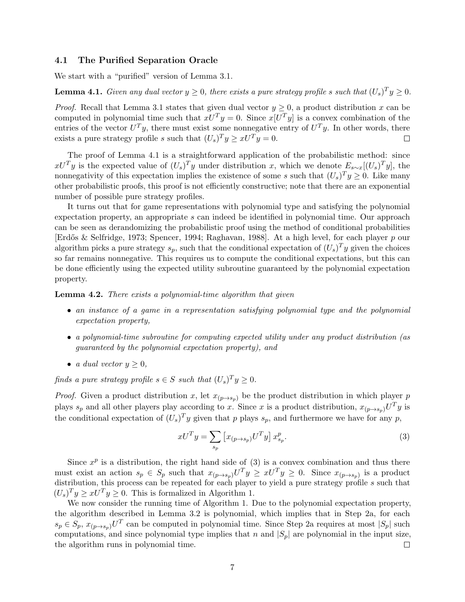#### <span id="page-6-3"></span>4.1 The Purified Separation Oracle

We start with a "purified" version of Lemma [3.1.](#page-4-2)

<span id="page-6-0"></span>**Lemma 4.1.** Given any dual vector  $y \ge 0$ , there exists a pure strategy profile s such that  $(U_s)^T y \ge 0$ .

*Proof.* Recall that Lemma [3.1](#page-4-2) states that given dual vector  $y \ge 0$ , a product distribution x can be computed in polynomial time such that  $xU^{T}y = 0$ . Since  $x[U^{T}y]$  is a convex combination of the entries of the vector  $U^T y$ , there must exist some nonnegative entry of  $U^T y$ . In other words, there exists a pure strategy profile s such that  $(U_s)^T y \geq xU^T y = 0$ .

The proof of Lemma [4.1](#page-6-0) is a straightforward application of the probabilistic method: since  $xU^Ty$  is the expected value of  $(U_s)^Ty$  under distribution x, which we denote  $E_{s\sim x}[(U_s)^Ty]$ , the nonnegativity of this expectation implies the existence of some s such that  $(U_s)^T y \geq 0$ . Like many other probabilistic proofs, this proof is not efficiently constructive; note that there are an exponential number of possible pure strategy profiles.

It turns out that for game representations with polynomial type and satisfying the polynomial expectation property, an appropriate s can indeed be identified in polynomial time. Our approach can be seen as derandomizing the probabilistic proof using the method of conditional probabilities [Erdős & Selfridge, 1973; Spencer, 1994; Raghavan, 1988]. At a high level, for each player p our algorithm picks a pure strategy  $s_p$ , such that the conditional expectation of  $(U_s)^T y$  given the choices so far remains nonnegative. This requires us to compute the conditional expectations, but this can be done efficiently using the expected utility subroutine guaranteed by the polynomial expectation property.

<span id="page-6-2"></span>**Lemma 4.2.** There exists a polynomial-time algorithm that given

- an instance of a game in a representation satisfying polynomial type and the polynomial expectation property,
- a polynomial-time subroutine for computing expected utility under any product distribution (as guaranteed by the polynomial expectation property), and
- a dual vector  $y \geq 0$ ,

finds a pure strategy profile  $s \in S$  such that  $(U_s)^T y \geq 0$ .

*Proof.* Given a product distribution x, let  $x_{(p\rightarrow s_p)}$  be the product distribution in which player p plays  $s_p$  and all other players play according to x. Since x is a product distribution,  $x_{(p\to s_p)}U^Ty$  is the conditional expectation of  $(U_s)^T y$  given that p plays  $s_p$ , and furthermore we have for any p,

<span id="page-6-1"></span>
$$
xU^T y = \sum_{s_p} \left[ x_{(p \to s_p)} U^T y \right] x_{s_p}^p. \tag{3}
$$

Since  $x^p$  is a distribution, the right hand side of [\(3\)](#page-6-1) is a convex combination and thus there must exist an action  $s_p \in S_p$  such that  $x_{(p\to s_p)}U^Ty \ge xU^Ty \ge 0$ . Since  $x_{(p\to s_p)}$  is a product distribution, this process can be repeated for each player to yield a pure strategy profile s such that  $(U_s)^T y \geq xU^T y \geq 0$ . This is formalized in Algorithm [1.](#page-7-0)

We now consider the running time of Algorithm [1.](#page-7-0) Due to the polynomial expectation property, the algorithm described in Lemma [3.2](#page-5-3) is polynomial, which implies that in Step [2a,](#page-7-1) for each  $s_p \in S_p$ ,  $x_{(p\to s_p)}U^T$  can be computed in polynomial time. Since Step [2a](#page-7-1) requires at most  $|S_p|$  such computations, and since polynomial type implies that n and  $|S_p|$  are polynomial in the input size, the algorithm runs in polynomial time.  $\Box$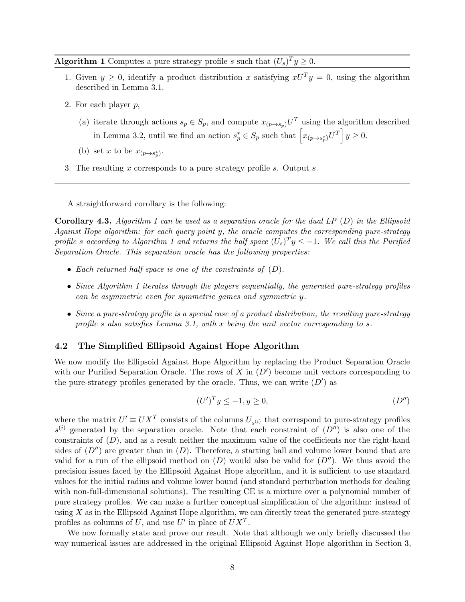**Algorithm 1** Computes a pure strategy profile s such that  $(U_s)^T y \geq 0$ .

- <span id="page-7-0"></span>1. Given  $y \geq 0$ , identify a product distribution x satisfying  $xU^{T}y = 0$ , using the algorithm described in Lemma [3.1.](#page-4-2)
- <span id="page-7-1"></span>2. For each player  $p$ ,
	- (a) iterate through actions  $s_p \in S_p$ , and compute  $x_{(p\to s_p)}U^T$  using the algorithm described in Lemma [3.2,](#page-5-3) until we find an action  $s_p^* \in S_p$  such that  $\left[x_{(p\rightarrow s_p^*)}U^T\right]y \geq 0$ .
	- (b) set x to be  $x_{(p\rightarrow s_p^*)}$ .
- 3. The resulting x corresponds to a pure strategy profile s. Output s.

A straightforward corollary is the following:

**Corollary 4.3.** Algorithm [1](#page-7-0) can be used as a separation oracle for the dual LP  $(D)$  $(D)$  $(D)$  in the Ellipsoid Against Hope algorithm: for each query point y, the oracle computes the corresponding pure-strategy profile s according to Algorithm [1](#page-7-0) and returns the half space  $(U_s)^T y \leq -1$ . We call this the Purified Separation Oracle. This separation oracle has the following properties:

- Each returned half space is one of the constraints of  $(D)$  $(D)$  $(D)$ .
- Since Algorithm [1](#page-7-0) iterates through the players sequentially, the generated pure-strategy profiles can be asymmetric even for symmetric games and symmetric y.
- Since a pure-strategy profile is a special case of a product distribution, the resulting pure-strategy profile s also satisfies Lemma [3.1,](#page-4-2) with x being the unit vector corresponding to s.

#### 4.2 The Simplified Ellipsoid Against Hope Algorithm

We now modify the Ellipsoid Against Hope Algorithm by replacing the Product Separation Oracle with our Purified Separation Oracle. The rows of  $X$  in  $(D')$  $(D')$  $(D')$  become unit vectors corresponding to the pure-strategy profiles generated by the oracle. Thus, we can write  $(D')$  $(D')$  $(D')$  as

<span id="page-7-2"></span>
$$
(U')^T y \le -1, y \ge 0,\tag{D''}
$$

where the matrix  $U' \equiv U X^T$  consists of the columns  $U_{s^{(i)}}$  that correspond to pure-strategy profiles  $s^{(i)}$  generated by the separation oracle. Note that each constraint of  $(D'')$  $(D'')$  $(D'')$  is also one of the constraints of  $(D)$  $(D)$  $(D)$ , and as a result neither the maximum value of the coefficients nor the right-hand sides of  $(D'')$  $(D'')$  $(D'')$  are greater than in  $(D)$ . Therefore, a starting ball and volume lower bound that are valid for a run of the ellipsoid method on  $(D)$  $(D)$  $(D)$  would also be valid for  $(D'')$ . We thus avoid the precision issues faced by the Ellipsoid Against Hope algorithm, and it is sufficient to use standard values for the initial radius and volume lower bound (and standard perturbation methods for dealing with non-full-dimensional solutions). The resulting CE is a mixture over a polynomial number of pure strategy profiles. We can make a further conceptual simplification of the algorithm: instead of using  $X$  as in the Ellipsoid Against Hope algorithm, we can directly treat the generated pure-strategy profiles as columns of U, and use U' in place of  $UX<sup>T</sup>$ .

We now formally state and prove our result. Note that although we only briefly discussed the way numerical issues are addressed in the original Ellipsoid Against Hope algorithm in Section [3,](#page-4-0)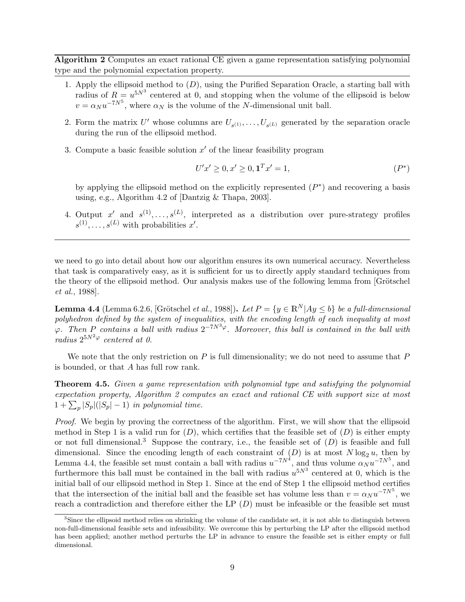Algorithm 2 Computes an exact rational CE given a game representation satisfying polynomial type and the polynomial expectation property.

- <span id="page-8-0"></span>1. Apply the ellipsoid method to  $(D)$  $(D)$  $(D)$ , using the Purified Separation Oracle, a starting ball with radius of  $R = u^{5N^3}$  centered at 0, and stopping when the volume of the ellipsoid is below  $v = \alpha_N u^{-7N^5}$ , where  $\alpha_N$  is the volume of the N-dimensional unit ball.
- 2. Form the matrix U' whose columns are  $U_{s(1)},\ldots,U_{s(L)}$  generated by the separation oracle during the run of the ellipsoid method.
- 3. Compute a basic feasible solution  $x'$  of the linear feasibility program

$$
U'x' \ge 0, x' \ge 0, \mathbf{1}^T x' = 1,\tag{P^*}
$$

by applying the ellipsoid method on the explicitly represented  $(P^*)$  $(P^*)$  $(P^*)$  and recovering a basis using, e.g., Algorithm 4.2 of [Dantzig & Thapa, 2003].

4. Output x' and  $s^{(1)}, \ldots, s^{(L)}$ , interpreted as a distribution over pure-strategy profiles  $s^{(1)}, \ldots, s^{(L)}$  with probabilities  $x'.$ 

we need to go into detail about how our algorithm ensures its own numerical accuracy. Nevertheless that task is comparatively easy, as it is sufficient for us to directly apply standard techniques from the theory of the ellipsoid method. Our analysis makes use of the following lemma from [Grötschel et al., 1988].

<span id="page-8-2"></span>**Lemma 4.4** (Lemma 6.2.6, [Grötschel *et al.*, 1988]). Let  $P = \{y \in \mathbb{R}^N | Ay \leq b\}$  be a full-dimensional polyhedron defined by the system of inequalities, with the encoding length of each inequality at most  $\varphi$ . Then P contains a ball with radius  $2^{-7N^3\varphi}$ . Moreover, this ball is contained in the ball with radius  $2^{5N^2\varphi}$  centered at 0.

We note that the only restriction on  $P$  is full dimensionality; we do not need to assume that  $P$ is bounded, or that A has full row rank.

Theorem 4.5. Given a game representation with polynomial type and satisfying the polynomial expectation property, Algorithm [2](#page-8-0) computes an exact and rational CE with support size at most  $1 + \sum_{p} |S_p|(|S_p| - 1)$  in polynomial time.

Proof. We begin by proving the correctness of the algorithm. First, we will show that the ellipsoid method in Step 1 is a valid run for  $(D)$  $(D)$  $(D)$ , which certifies that the feasible set of  $(D)$  is either empty or not full dimensional.<sup>[3](#page-8-1)</sup> Suppose the contrary, i.e., the feasible set of  $(D)$  $(D)$  $(D)$  is feasible and full dimensional. Since the encoding length of each constraint of  $(D)$  $(D)$  $(D)$  is at most  $N \log_2 u$ , then by Lemma [4.4,](#page-8-2) the feasible set must contain a ball with radius  $u^{-7N^4}$ , and thus volume  $\alpha_N u^{-7N^5}$ , and furthermore this ball must be contained in the ball with radius  $u^{5N^3}$  centered at 0, which is the initial ball of our ellipsoid method in Step 1. Since at the end of Step 1 the ellipsoid method certifies that the intersection of the initial ball and the feasible set has volume less than  $v = \alpha_N u^{-7N^5}$ , we reach a contradiction and therefore either the LP  $(D)$  $(D)$  $(D)$  must be infeasible or the feasible set must

<span id="page-8-1"></span><sup>&</sup>lt;sup>3</sup>Since the ellipsoid method relies on shrinking the volume of the candidate set, it is not able to distinguish between non-full-dimensional feasible sets and infeasibility. We overcome this by perturbing the LP after the ellipsoid method has been applied; another method perturbs the LP in advance to ensure the feasible set is either empty or full dimensional.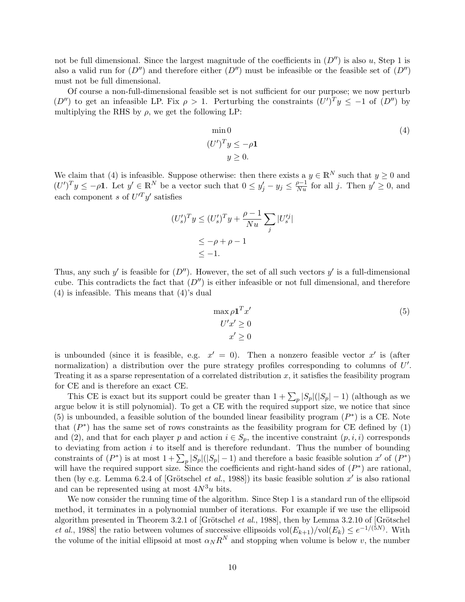not be full dimensional. Since the largest magnitude of the coefficients in  $(D'')$  $(D'')$  $(D'')$  is also u, Step 1 is also a valid run for  $(D'')$  $(D'')$  $(D'')$  and therefore either  $(D'')$  must be infeasible or the feasible set of  $(D'')$ must not be full dimensional.

Of course a non-full-dimensional feasible set is not sufficient for our purpose; we now perturb  $(D'')$  $(D'')$  $(D'')$  to get an infeasible LP. Fix  $\rho > 1$ . Perturbing the constraints  $(U')^T y \le -1$  of  $(D'')$  by multiplying the RHS by  $\rho$ , we get the following LP:

$$
\min 0
$$
  
\n
$$
(U')^{T} y \le -\rho \mathbf{1}
$$
  
\n
$$
y \ge 0.
$$
\n(4)

We claim that [\(4\)](#page-7-2) is infeasible. Suppose otherwise: then there exists a  $y \in \mathbb{R}^N$  such that  $y \ge 0$  and  $(U')^T y \le -\rho \mathbf{1}$ . Let  $y' \in \mathbb{R}^N$  be a vector such that  $0 \le y'_j - y_j \le \frac{\rho-1}{Nu}$  for all j. Then  $y' \ge 0$ , and each component s of  $U'^T y'$  satisfies

$$
(U_s')^T y \le (U_s')^T y + \frac{\rho - 1}{Nu} \sum_j |U_s'^j|
$$
  

$$
\le -\rho + \rho - 1
$$
  

$$
\le -1.
$$

Thus, any such y' is feasible for  $(D'')$  $(D'')$  $(D'')$ . However, the set of all such vectors y' is a full-dimensional cube. This contradicts the fact that  $(D'')$  $(D'')$  $(D'')$  is either infeasible or not full dimensional, and therefore [\(4\)](#page-7-2) is infeasible. This means that [\(4\)](#page-7-2)'s dual

<span id="page-9-0"></span>
$$
\max \rho \mathbf{1}^T x' \nU'x' \ge 0 \nx' \ge 0
$$
\n(5)

is unbounded (since it is feasible, e.g.  $x' = 0$ ). Then a nonzero feasible vector x' is (after normalization) a distribution over the pure strategy profiles corresponding to columns of  $U'$ . Treating it as a sparse representation of a correlated distribution  $x$ , it satisfies the feasibility program for CE and is therefore an exact CE.

This CE is exact but its support could be greater than  $1 + \sum_{p} |S_p|(|S_p| - 1)$  (although as we argue below it is still polynomial). To get a CE with the required support size, we notice that since [\(5\)](#page-9-0) is unbounded, a feasible solution of the bounded linear feasibility program  $(P^*)$  $(P^*)$  $(P^*)$  is a CE. Note that  $(P^*)$  $(P^*)$  $(P^*)$  has the same set of rows constraints as the feasibility program for CE defined by  $(1)$ and [\(2\)](#page-4-1), and that for each player p and action  $i \in S_p$ , the incentive constraint  $(p, i, i)$  corresponds to deviating from action  $i$  to itself and is therefore redundant. Thus the number of bounding constraints of  $(P^*)$  $(P^*)$  $(P^*)$  is at most  $1 + \sum_{p} |S_p|(|S_p| - 1)$  and therefore a basic feasible solution x' of  $(P^*)$ will have the required support size. Since the coefficients and right-hand sides of  $(P^*)$  $(P^*)$  $(P^*)$  are rational, then (by e.g. Lemma 6.2.4 of [Grötschel *et al.*, 1988]) its basic feasible solution  $x'$  is also rational and can be represented using at most  $4N^3u$  bits.

We now consider the running time of the algorithm. Since Step 1 is a standard run of the ellipsoid method, it terminates in a polynomial number of iterations. For example if we use the ellipsoid algorithm presented in Theorem 3.2.1 of [Grötschel et al., 1988], then by Lemma 3.2.10 of [Grötschel *et al.*, 1988] the ratio between volumes of successive ellipsoids vol $(E_{k+1})/\text{vol}(E_k) \leq e^{-1/(5N)}$ . With the volume of the initial ellipsoid at most  $\alpha_N R^N$  and stopping when volume is below v, the number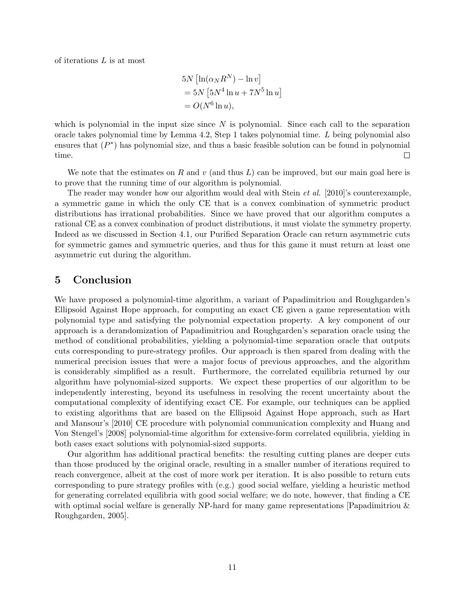of iterations L is at most

$$
5N \left[ \ln(\alpha_N R^N) - \ln v \right]
$$
  
= 
$$
5N \left[ 5N^4 \ln u + 7N^5 \ln u \right]
$$
  
= 
$$
O(N^6 \ln u),
$$

which is polynomial in the input size since  $N$  is polynomial. Since each call to the separation oracle takes polynomial time by Lemma [4.2,](#page-6-2) Step 1 takes polynomial time. L being polynomial also ensures that  $(P^*)$  $(P^*)$  $(P^*)$  has polynomial size, and thus a basic feasible solution can be found in polynomial time.  $\Box$ 

We note that the estimates on R and v (and thus L) can be improved, but our main goal here is to prove that the running time of our algorithm is polynomial.

The reader may wonder how our algorithm would deal with Stein *et al.* [2010]'s counterexample, a symmetric game in which the only CE that is a convex combination of symmetric product distributions has irrational probabilities. Since we have proved that our algorithm computes a rational CE as a convex combination of product distributions, it must violate the symmetry property. Indeed as we discussed in Section [4.1,](#page-6-3) our Purified Separation Oracle can return asymmetric cuts for symmetric games and symmetric queries, and thus for this game it must return at least one asymmetric cut during the algorithm.

# <span id="page-10-0"></span>5 Conclusion

We have proposed a polynomial-time algorithm, a variant of Papadimitriou and Roughgarden's Ellipsoid Against Hope approach, for computing an exact CE given a game representation with polynomial type and satisfying the polynomial expectation property. A key component of our approach is a derandomization of Papadimitriou and Roughgarden's separation oracle using the method of conditional probabilities, yielding a polynomial-time separation oracle that outputs cuts corresponding to pure-strategy profiles. Our approach is then spared from dealing with the numerical precision issues that were a major focus of previous approaches, and the algorithm is considerably simplified as a result. Furthermore, the correlated equilibria returned by our algorithm have polynomial-sized supports. We expect these properties of our algorithm to be independently interesting, beyond its usefulness in resolving the recent uncertainty about the computational complexity of identifying exact CE. For example, our techniques can be applied to existing algorithms that are based on the Ellipsoid Against Hope approach, such as Hart and Mansour's [2010] CE procedure with polynomial communication complexity and Huang and Von Stengel's [2008] polynomial-time algorithm for extensive-form correlated equilibria, yielding in both cases exact solutions with polynomial-sized supports.

Our algorithm has additional practical benefits: the resulting cutting planes are deeper cuts than those produced by the original oracle, resulting in a smaller number of iterations required to reach convergence, albeit at the cost of more work per iteration. It is also possible to return cuts corresponding to pure strategy profiles with (e.g.) good social welfare, yielding a heuristic method for generating correlated equilibria with good social welfare; we do note, however, that finding a CE with optimal social welfare is generally NP-hard for many game representations [Papadimitriou  $\&$ Roughgarden, 2005].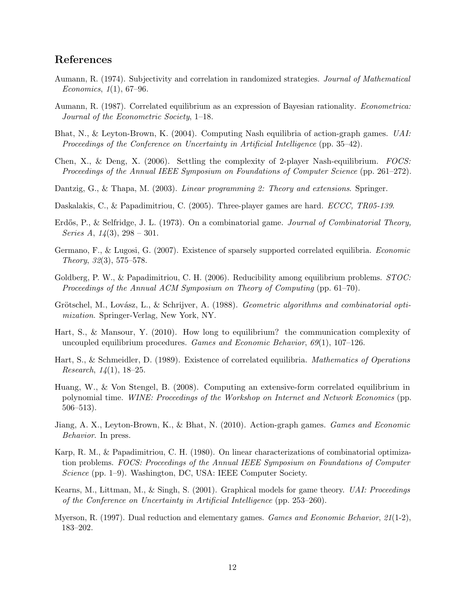# References

- Aumann, R. (1974). Subjectivity and correlation in randomized strategies. Journal of Mathematical Economics, 1(1), 67–96.
- Aumann, R. (1987). Correlated equilibrium as an expression of Bayesian rationality. Econometrica: Journal of the Econometric Society, 1–18.
- Bhat, N., & Leyton-Brown, K. (2004). Computing Nash equilibria of action-graph games. UAI: Proceedings of the Conference on Uncertainty in Artificial Intelligence (pp. 35–42).
- Chen, X., & Deng, X. (2006). Settling the complexity of 2-player Nash-equilibrium. FOCS: Proceedings of the Annual IEEE Symposium on Foundations of Computer Science (pp. 261–272).
- Dantzig, G., & Thapa, M. (2003). *Linear programming 2: Theory and extensions*. Springer.
- Daskalakis, C., & Papadimitriou, C. (2005). Three-player games are hard. *ECCC*, *TR05-139*.
- Erdős, P., & Selfridge, J. L. (1973). On a combinatorial game. Journal of Combinatorial Theory, Series A,  $14(3)$ ,  $298 - 301$ .
- Germano, F., & Lugosi, G. (2007). Existence of sparsely supported correlated equilibria. Economic Theory, 32(3), 575–578.
- Goldberg, P. W., & Papadimitriou, C. H. (2006). Reducibility among equilibrium problems. *STOC*: Proceedings of the Annual ACM Symposium on Theory of Computing (pp. 61–70).
- Grötschel, M., Lovász, L., & Schrijver, A. (1988). Geometric algorithms and combinatorial optimization. Springer-Verlag, New York, NY.
- Hart, S., & Mansour, Y. (2010). How long to equilibrium? the communication complexity of uncoupled equilibrium procedures. Games and Economic Behavior,  $69(1)$ ,  $107-126$ .
- Hart, S., & Schmeidler, D. (1989). Existence of correlated equilibria. Mathematics of Operations *Research*,  $14(1)$ , 18–25.
- Huang, W., & Von Stengel, B. (2008). Computing an extensive-form correlated equilibrium in polynomial time. WINE: Proceedings of the Workshop on Internet and Network Economics (pp. 506–513).
- Jiang, A. X., Leyton-Brown, K., & Bhat, N. (2010). Action-graph games. Games and Economic Behavior. In press.
- Karp, R. M., & Papadimitriou, C. H. (1980). On linear characterizations of combinatorial optimization problems. FOCS: Proceedings of the Annual IEEE Symposium on Foundations of Computer Science (pp. 1–9). Washington, DC, USA: IEEE Computer Society.
- Kearns, M., Littman, M., & Singh, S. (2001). Graphical models for game theory. UAI: Proceedings of the Conference on Uncertainty in Artificial Intelligence (pp. 253–260).
- Myerson, R. (1997). Dual reduction and elementary games. Games and Economic Behavior, 21(1-2), 183–202.